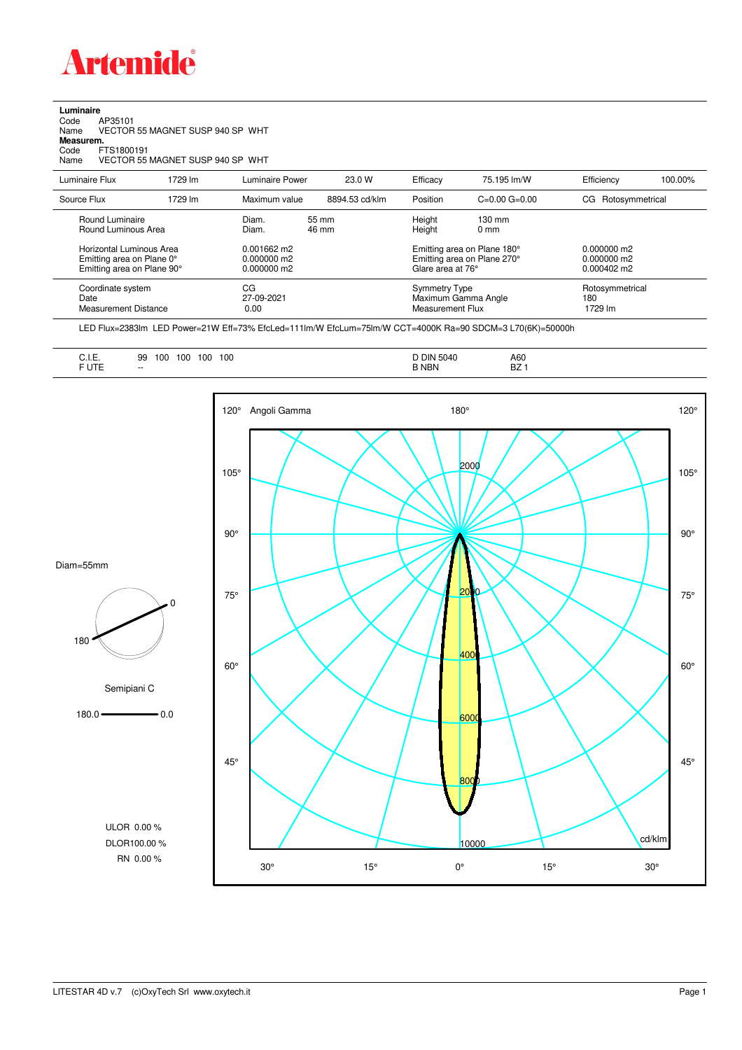

**Luminaire**<br>Code /<br>Name \ Code AP35101 Name VECTOR 55 MAGNET SUSP 940 SP WHT **Measurem.** Code FTS1800191

Name VECTOR 55 MAGNET SUSP 940 SP WHT

| Luminaire Flux                                                                                                                | 1729 lm | Luminaire Power                                                   | 23.0 W         | Efficacy                          | 75.195 lm/W                                                                                                                               | Efficiency                        | 100.00% |
|-------------------------------------------------------------------------------------------------------------------------------|---------|-------------------------------------------------------------------|----------------|-----------------------------------|-------------------------------------------------------------------------------------------------------------------------------------------|-----------------------------------|---------|
| Source Flux                                                                                                                   | 1729 lm | Maximum value                                                     | 8894.53 cd/klm | Position                          | $C=0.00$ $G=0.00$                                                                                                                         | Rotosymmetrical<br>CG.            |         |
| Round Luminaire<br>Round Luminous Area<br>Horizontal Luminous Area<br>Emitting area on Plane 0°<br>Emitting area on Plane 90° |         | Diam.<br>Diam.<br>$0.001662$ m2<br>$0.000000$ m2<br>$0.000000$ m2 | 55 mm<br>46 mm |                                   | Height<br>$130 \text{ mm}$<br>Height<br>$0 \text{ mm}$<br>Emitting area on Plane 180°<br>Emitting area on Plane 270°<br>Glare area at 76° |                                   |         |
| Coordinate system<br>Date<br><b>Measurement Distance</b>                                                                      |         | CG<br>27-09-2021<br>0.00                                          |                | Symmetry Type<br>Measurement Flux | Maximum Gamma Angle                                                                                                                       | Rotosymmetrical<br>180<br>1729 lm |         |

LED Flux=2383lm LED Power=21W Eff=73% EfcLed=111lm/W EfcLum=75lm/W CCT=4000K Ra=90 SDCM=3 L70(6K)=50000h